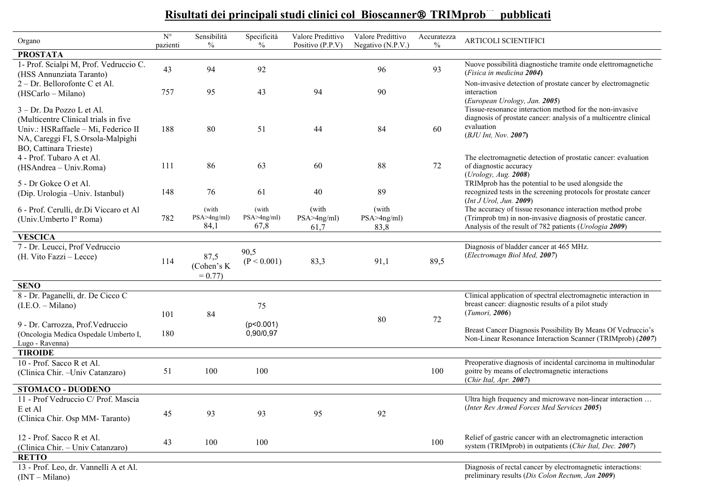## **Risultati dei principali studi clinici col Bioscanner TRIMprob™ pubblicati**

| Organo                                                                                                                                                                   | $\mathrm{N}^\circ$<br>pazienti | Sensibilità<br>$\%$            | Specificità                    | Valore Predittivo<br>Positivo (P.P.V) | Valore Predittivo              | Accuratezza<br>$\%$ | <b>ARTICOLI SCIENTIFICI</b>                                                                                                                                                         |
|--------------------------------------------------------------------------------------------------------------------------------------------------------------------------|--------------------------------|--------------------------------|--------------------------------|---------------------------------------|--------------------------------|---------------------|-------------------------------------------------------------------------------------------------------------------------------------------------------------------------------------|
| <b>PROSTATA</b>                                                                                                                                                          |                                |                                | $\%$                           |                                       | Negativo (N.P.V.)              |                     |                                                                                                                                                                                     |
| 1- Prof. Scialpi M, Prof. Vedruccio C.<br>(HSS Annunziata Taranto)                                                                                                       | 43                             | 94                             | 92                             |                                       | 96                             | 93                  | Nuove possibilità diagnostiche tramite onde elettromagnetiche<br>(Fisica in medicina 2004)                                                                                          |
| 2 – Dr. Bellorofonte C et Al.<br>(HSCarlo – Milano)                                                                                                                      | 757                            | 95                             | 43                             | 94                                    | 90                             |                     | Non-invasive detection of prostate cancer by electromagnetic<br>interaction<br>(European Urology, Jan. 2005)                                                                        |
| 3 - Dr. Da Pozzo L et Al.<br>(Multicentre Clinical trials in five)<br>Univ.: HSRaffaele - Mi, Federico II<br>NA, Careggi FI, S.Orsola-Malpighi<br>BO, Cattinara Trieste) | 188                            | 80                             | 51                             | 44                                    | 84                             | 60                  | Tissue-resonance interaction method for the non-invasive<br>diagnosis of prostate cancer: analysis of a multicentre clinical<br>evaluation<br>(BJU Int, Nov. 2007)                  |
| 4 - Prof. Tubaro A et Al.<br>(HSAndrea – Univ.Roma)                                                                                                                      | 111                            | 86                             | 63                             | 60                                    | 88                             | 72                  | The electromagnetic detection of prostatic cancer: evaluation<br>of diagnostic accuracy<br>(Urology, Aug. 2008)                                                                     |
| 5 - Dr Gokce O et Al.<br>(Dip. Urologia - Univ. Istanbul)                                                                                                                | 148                            | 76                             | 61                             | 40                                    | 89                             |                     | TRIMprob has the potential to be used alongside the<br>recognized tests in the screening protocols for prostate cancer<br>(Int J Urol, Jun. 2009)                                   |
| 6 - Prof. Cerulli, dr.Di Viccaro et Al<br>(Univ.Umberto I° Roma)                                                                                                         | 782                            | (with<br>PSA > 4ng/ml)<br>84,1 | (with<br>PSA > 4ng/ml)<br>67,8 | (with<br>PSA>4ng/ml)<br>61,7          | (with<br>PSA > 4ng/ml)<br>83,8 |                     | The accuracy of tissue resonance interaction method probe<br>(Trimprob tm) in non-invasive diagnosis of prostatic cancer.<br>Analysis of the result of 782 patients (Urologia 2009) |
| <b>VESCICA</b>                                                                                                                                                           |                                |                                |                                |                                       |                                |                     |                                                                                                                                                                                     |
| 7 - Dr. Leucci, Prof Vedruccio<br>(H. Vito Fazzi – Lecce)                                                                                                                | 114                            | 87,5<br>(Cohen's K<br>$= 0.77$ | 90,5<br>(P < 0.001)            | 83,3                                  | 91,1                           | 89,5                | Diagnosis of bladder cancer at 465 MHz.<br>(Electromagn Biol Med, 2007)                                                                                                             |
| <b>SENO</b>                                                                                                                                                              |                                |                                |                                |                                       |                                |                     |                                                                                                                                                                                     |
| 8 - Dr. Paganelli, dr. De Cicco C<br>$(I.E.O. - Milano)$                                                                                                                 | 101                            | 84                             | 75                             |                                       | 80                             | 72                  | Clinical application of spectral electromagnetic interaction in<br>breast cancer: diagnostic results of a pilot study<br>(Tumori, 2006)                                             |
| 9 - Dr. Carrozza, Prof. Vedruccio<br>(Oncologia Medica Ospedale Umberto I,<br>Lugo - Ravenna)                                                                            | 180                            |                                | (p<0.001)<br>0,90/0,97         |                                       |                                |                     | Breast Cancer Diagnosis Possibility By Means Of Vedruccio's<br>Non-Linear Resonance Interaction Scanner (TRIMprob) (2007)                                                           |
| <b>TIROIDE</b>                                                                                                                                                           |                                |                                |                                |                                       |                                |                     |                                                                                                                                                                                     |
| 10 - Prof. Sacco R et Al.<br>(Clinica Chir. - Univ Catanzaro)                                                                                                            | 51                             | 100                            | 100                            |                                       |                                | 100                 | Preoperative diagnosis of incidental carcinoma in multinodular<br>goitre by means of electromagnetic interactions<br>(Chir Ital, Apr. 2007)                                         |
| <b>STOMACO - DUODENO</b>                                                                                                                                                 |                                |                                |                                |                                       |                                |                     |                                                                                                                                                                                     |
| 11 - Prof Vedruccio C/ Prof. Mascia<br>E et Al<br>(Clinica Chir. Osp MM-Taranto)                                                                                         | 45                             | 93                             | 93                             | 95                                    | 92                             |                     | Ultra high frequency and microwave non-linear interaction<br>(Inter Rev Armed Forces Med Services 2005)                                                                             |
| 12 - Prof. Sacco R et Al.<br>(Clinica Chir. - Univ Catanzaro)<br><b>RETTO</b>                                                                                            | 43                             | 100                            | 100                            |                                       |                                | 100                 | Relief of gastric cancer with an electromagnetic interaction<br>system (TRIMprob) in outpatients (Chir Ital, Dec. 2007)                                                             |
| 13 - Prof. Leo, dr. Vannelli A et Al.<br>$(INT - Milano)$                                                                                                                |                                |                                |                                |                                       |                                |                     | Diagnosis of rectal cancer by electromagnetic interactions:<br>preliminary results (Dis Colon Rectum, Jan 2009)                                                                     |